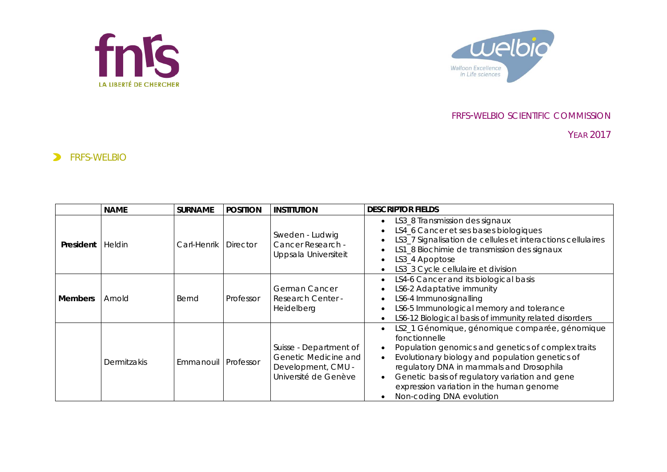



## FRFS-WELBIO SCIENTIFIC COMMISSION

YEAR 2017

## **ERFS-WELBIO**

|                | <b>NAME</b>   | <b>SURNAME</b>        | <b>POSITION</b> | <b>INSTITUTION</b>                                                                           | <b>DESCRIPTOR FIELDS</b>                                                                                                                                                                                                                                                                                                                       |
|----------------|---------------|-----------------------|-----------------|----------------------------------------------------------------------------------------------|------------------------------------------------------------------------------------------------------------------------------------------------------------------------------------------------------------------------------------------------------------------------------------------------------------------------------------------------|
| President      | <b>Heldin</b> | Carl-Henrik I         | <b>Director</b> | Sweden - Ludwig<br>Cancer Research -<br>Uppsala Universiteit                                 | LS3_8 Transmission des signaux<br>LS4_6 Cancer et ses bases biologiques<br>LS3_7 Signalisation de cellules et interactions cellulaires<br>LS1_8 Biochimie de transmission des signaux<br>LS3_4 Apoptose<br>LS3_3 Cycle cellulaire et division                                                                                                  |
| <b>Members</b> | Arnold        | Bernd                 | Professor       | German Cancer<br><b>Research Center -</b><br>Heidelberg                                      | LS4-6 Cancer and its biological basis<br>LS6-2 Adaptative immunity<br>LS6-4 Immunosignalling<br>LS6-5 Immunological memory and tolerance<br>LS6-12 Biological basis of immunity related disorders                                                                                                                                              |
|                | Dermitzakis   | Emmanouil   Professor |                 | Suisse - Department of<br>Genetic Medicine and<br>Development, CMU -<br>Université de Genève | LS2_1 Génomique, génomique comparée, génomique<br>fonctionnelle<br>Population genomics and genetics of complex traits<br>Evolutionary biology and population genetics of<br>regulatory DNA in mammals and Drosophila<br>Genetic basis of regulatory variation and gene<br>expression variation in the human genome<br>Non-coding DNA evolution |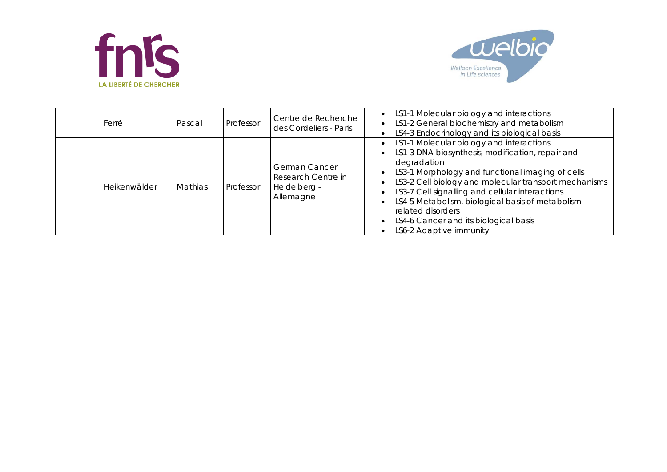



| Ferré        | Pascal         | Professor | Centre de Recherche<br>des Cordeliers - Paris                           | • LS1-1 Molecular biology and interactions<br>LS1-2 General biochemistry and metabolism<br>LS4-3 Endocrinology and its biological basis                                                                                                                                                                                                                                                                                  |
|--------------|----------------|-----------|-------------------------------------------------------------------------|--------------------------------------------------------------------------------------------------------------------------------------------------------------------------------------------------------------------------------------------------------------------------------------------------------------------------------------------------------------------------------------------------------------------------|
| Heikenwälder | <b>Mathias</b> | Professor | <b>German Cancer</b><br>Research Centre in<br>Heidelberg -<br>Allemagne | LS1-1 Molecular biology and interactions<br>LS1-3 DNA biosynthesis, modification, repair and<br>degradation<br>LS3-1 Morphology and functional imaging of cells<br>LS3-2 Cell biology and molecular transport mechanisms<br>LS3-7 Cell signalling and cellular interactions<br>LS4-5 Metabolism, biological basis of metabolism<br>related disorders<br>LS4-6 Cancer and its biological basis<br>LS6-2 Adaptive immunity |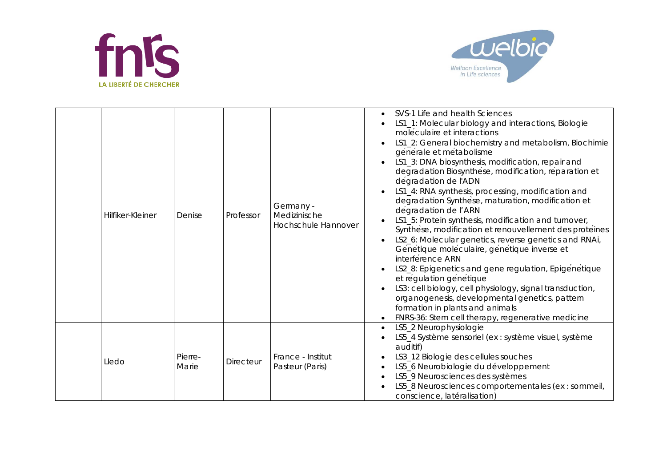



| Hilfiker-Kleiner | Denise           | Professor        | Germany -<br>Medizinische<br>Hochschule Hannover | SVS-1 Life and health Sciences<br>LS1_1: Molecular biology and interactions, Biologie<br>moléculaire et interactions<br>LS1_2: General biochemistry and metabolism, Biochimie<br>générale et métabolisme<br>LS1_3: DNA biosynthesis, modification, repair and<br>degradation Biosynthese, modification, reparation et<br>degradation de l'ADN<br>LS1_4: RNA synthesis, processing, modification and<br>degradation Synthese, maturation, modification et<br>degradation de l'ARN<br>LS1_5: Protein synthesis, modification and turnover,<br>Synthese, modification et renouvellement des proteines<br>LS2_6: Molecular genetics, reverse genetics and RNAi,<br>Génétique moléculaire, génétique inverse et<br>interference ARN<br>LS2_8: Epigenetics and gene regulation, Epigenetique<br>et régulation génétique<br>LS3: cell biology, cell physiology, signal transduction,<br>organogenesis, developmental genetics, pattern<br>formation in plants and animals<br>FNRS-36: Stem cell therapy, regenerative medicine |
|------------------|------------------|------------------|--------------------------------------------------|-------------------------------------------------------------------------------------------------------------------------------------------------------------------------------------------------------------------------------------------------------------------------------------------------------------------------------------------------------------------------------------------------------------------------------------------------------------------------------------------------------------------------------------------------------------------------------------------------------------------------------------------------------------------------------------------------------------------------------------------------------------------------------------------------------------------------------------------------------------------------------------------------------------------------------------------------------------------------------------------------------------------------|
| Lledo            | Pierre-<br>Marie | <b>Directeur</b> | France - Institut<br>Pasteur (Paris)             | LS5_2 Neurophysiologie<br>LS5_4 Système sensoriel (ex : système visuel, système<br>auditif)<br>LS3_12 Biologie des cellules souches<br>LS5_6 Neurobiologie du développement<br>LS5_9 Neurosciences des systèmes<br>LS5_8 Neurosciences comportementales (ex : sommeil,<br>conscience, latéralisation)                                                                                                                                                                                                                                                                                                                                                                                                                                                                                                                                                                                                                                                                                                                   |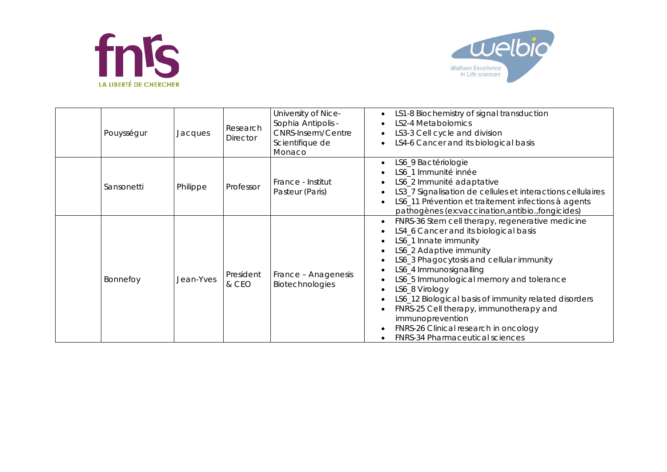



| Pouysségur | Jacques   | Research<br>Director | University of Nice-<br>Sophia Antipolis -<br><b>CNRS-Inserm/Centre</b><br>Scientifique de<br>Monaco | LS1-8 Biochemistry of signal transduction<br>LS2-4 Metabolomics<br>LS3-3 Cell cycle and division<br>LS4-6 Cancer and its biological basis                                                                                                                                                                                                                                                                                                                                                    |
|------------|-----------|----------------------|-----------------------------------------------------------------------------------------------------|----------------------------------------------------------------------------------------------------------------------------------------------------------------------------------------------------------------------------------------------------------------------------------------------------------------------------------------------------------------------------------------------------------------------------------------------------------------------------------------------|
| Sansonetti | Philippe  | Professor            | France - Institut<br>Pasteur (Paris)                                                                | LS6_9 Bactériologie<br>LS6_1 Immunité innée<br>LS6_2 Immunité adaptative<br>LS3_7 Signalisation de cellules et interactions cellulaires<br>LS6_11 Prévention et traitement infections à agents<br>pathogènes (ex:vaccination, antibio., fongicides)                                                                                                                                                                                                                                          |
| Bonnefoy   | Jean-Yves | President<br>& CEO   | France - Anagenesis<br>Biotechnologies                                                              | FNRS-36 Stem cell therapy, regenerative medicine<br>LS4_6 Cancer and its biological basis<br>LS6_1 Innate immunity<br>LS6_2 Adaptive immunity<br>LS6_3 Phagocytosis and cellular immunity<br>LS6_4 Immunosignalling<br>LS6_5 Immunological memory and tolerance<br>LS6_8 Virology<br>LS6_12 Biological basis of immunity related disorders<br>FNRS-25 Cell therapy, immunotherapy and<br>immunoprevention<br>FNRS-26 Clinical research in oncology<br><b>FNRS-34 Pharmaceutical sciences</b> |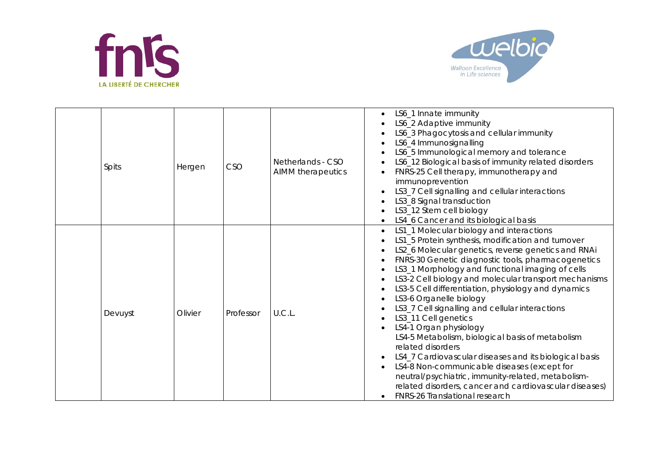



| Spits   | Hergen  | CSO       | Netherlands - CSO<br>AIMM therapeutics | LS6_1 Innate immunity<br>LS6_2 Adaptive immunity<br>LS6_3 Phagocytosis and cellular immunity<br>LS6_4 Immunosignalling<br>LS6_5 Immunological memory and tolerance<br>LS6_12 Biological basis of immunity related disorders<br>FNRS-25 Cell therapy, immunotherapy and<br>immunoprevention<br>LS3_7 Cell signalling and cellular interactions<br>LS3_8 Signal transduction<br>LS3_12 Stem cell biology<br>LS4_6 Cancer and its biological basis                                                                                                                                                                                                                                                                                                                                                                                                     |
|---------|---------|-----------|----------------------------------------|-----------------------------------------------------------------------------------------------------------------------------------------------------------------------------------------------------------------------------------------------------------------------------------------------------------------------------------------------------------------------------------------------------------------------------------------------------------------------------------------------------------------------------------------------------------------------------------------------------------------------------------------------------------------------------------------------------------------------------------------------------------------------------------------------------------------------------------------------------|
| Devuyst | Olivier | Professor | U.C.L.                                 | LS1_1 Molecular biology and interactions<br>LS1_5 Protein synthesis, modification and turnover<br>LS2_6 Molecular genetics, reverse genetics and RNAi<br>FNRS-30 Genetic diagnostic tools, pharmacogenetics<br>LS3_1 Morphology and functional imaging of cells<br>LS3-2 Cell biology and molecular transport mechanisms<br>LS3-5 Cell differentiation, physiology and dynamics<br>LS3-6 Organelle biology<br>LS3_7 Cell signalling and cellular interactions<br>LS3_11 Cell genetics<br>LS4-1 Organ physiology<br>LS4-5 Metabolism, biological basis of metabolism<br>related disorders<br>LS4_7 Cardiovascular diseases and its biological basis<br>LS4-8 Non-communicable diseases (except for<br>neutral/psychiatric, immunity-related, metabolism-<br>related disorders, cancer and cardiovascular diseases)<br>FNRS-26 Translational research |